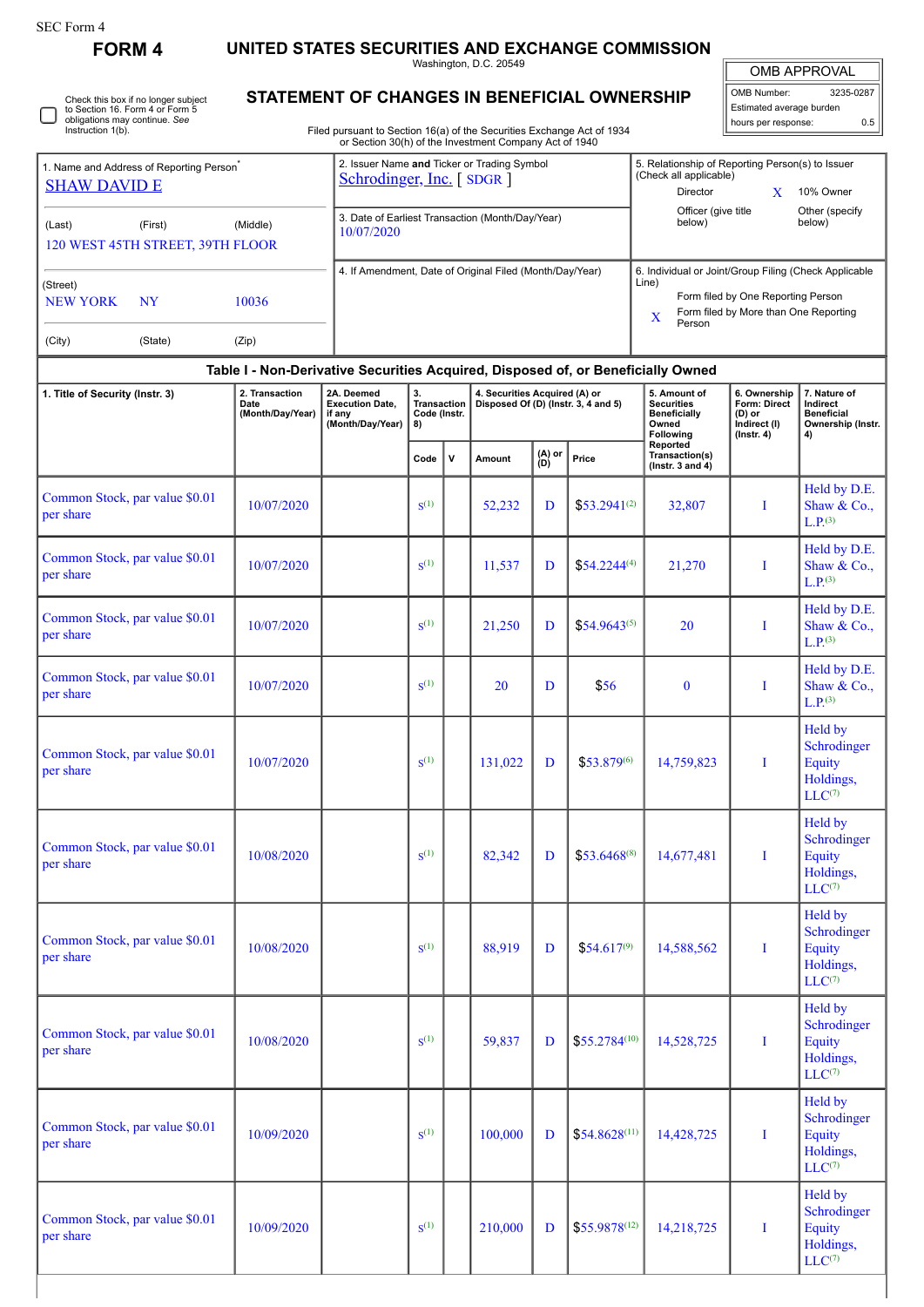**FORM 4 UNITED STATES SECURITIES AND EXCHANGE COMMISSION**

|                                                                             |                                                                                  |                                                                                                                                  |                                         |              | Washington, D.C. 20549                                                                                                                                       |               |                   |                                                                                |                                                                            | OMB APPROVAL                                                             |
|-----------------------------------------------------------------------------|----------------------------------------------------------------------------------|----------------------------------------------------------------------------------------------------------------------------------|-----------------------------------------|--------------|--------------------------------------------------------------------------------------------------------------------------------------------------------------|---------------|-------------------|--------------------------------------------------------------------------------|----------------------------------------------------------------------------|--------------------------------------------------------------------------|
| Check this box if no longer subject<br>to Section 16. Form 4 or Form 5      |                                                                                  | STATEMENT OF CHANGES IN BENEFICIAL OWNERSHIP                                                                                     |                                         |              |                                                                                                                                                              |               |                   |                                                                                | OMB Number:<br>Estimated average burden                                    | 3235-0287                                                                |
| obligations may continue. See<br>Instruction 1(b).                          |                                                                                  | Filed pursuant to Section 16(a) of the Securities Exchange Act of 1934<br>or Section 30(h) of the Investment Company Act of 1940 |                                         |              |                                                                                                                                                              |               |                   |                                                                                | hours per response:                                                        | 0.5                                                                      |
| 1. Name and Address of Reporting Person <sup>®</sup><br><b>SHAW DAVID E</b> | 2. Issuer Name and Ticker or Trading Symbol<br>Schrodinger, Inc. [SDGR]          |                                                                                                                                  |                                         |              | 5. Relationship of Reporting Person(s) to Issuer<br>(Check all applicable)<br>Director<br>X<br>10% Owner                                                     |               |                   |                                                                                |                                                                            |                                                                          |
| (Last)<br>(First)<br>120 WEST 45TH STREET, 39TH FLOOR                       | 3. Date of Earliest Transaction (Month/Day/Year)<br>10/07/2020                   |                                                                                                                                  |                                         |              | Officer (give title<br>Other (specify<br>below)<br>below)                                                                                                    |               |                   |                                                                                |                                                                            |                                                                          |
| (Street)<br><b>NEW YORK</b><br><b>NY</b>                                    | 4. If Amendment, Date of Original Filed (Month/Day/Year)                         |                                                                                                                                  |                                         |              | 6. Individual or Joint/Group Filing (Check Applicable<br>Line)<br>Form filed by One Reporting Person<br>Form filed by More than One Reporting<br>X<br>Person |               |                   |                                                                                |                                                                            |                                                                          |
| (City)<br>(State)                                                           |                                                                                  |                                                                                                                                  |                                         |              |                                                                                                                                                              |               |                   |                                                                                |                                                                            |                                                                          |
|                                                                             | Table I - Non-Derivative Securities Acquired, Disposed of, or Beneficially Owned |                                                                                                                                  |                                         |              |                                                                                                                                                              |               |                   |                                                                                |                                                                            |                                                                          |
| 1. Title of Security (Instr. 3)                                             | 2. Transaction<br>Date<br>(Month/Day/Year)                                       | 2A. Deemed<br><b>Execution Date,</b><br>if any<br>(Month/Day/Year)                                                               | 3.<br>Transaction<br>Code (Instr.<br>8) |              | 4. Securities Acquired (A) or<br>Disposed Of (D) (Instr. 3, 4 and 5)                                                                                         |               |                   | 5. Amount of<br><b>Securities</b><br><b>Beneficially</b><br>Owned<br>Following | 6. Ownership<br>Form: Direct<br>(D) or<br>Indirect (I)<br>$($ lnstr. 4 $)$ | 7. Nature of<br>Indirect<br><b>Beneficial</b><br>Ownership (Instr.<br>4) |
|                                                                             |                                                                                  |                                                                                                                                  | Code                                    | $\mathsf{v}$ | Amount                                                                                                                                                       | (A) or<br>(D) | Price             | Reported<br>Transaction(s)<br>( $lnstr. 3 and 4$ )                             |                                                                            |                                                                          |
| Common Stock, par value \$0.01<br>per share                                 | 10/07/2020                                                                       |                                                                                                                                  | $S^{(1)}$                               |              | 52,232                                                                                                                                                       | D             | $$53.2941^{(2)}$  | 32,807                                                                         | I                                                                          | Held by D.E.<br>Shaw & Co.,<br>L.P. <sup>(3)</sup>                       |
| Common Stock, par value \$0.01<br>per share                                 | 10/07/2020                                                                       |                                                                                                                                  | $S^{(1)}$                               |              | 11,537                                                                                                                                                       | D             | $$54.2244^{(4)}$  | 21,270                                                                         | I                                                                          | Held by D.E.<br>Shaw & Co.,<br>L.P <sup>(3)</sup>                        |
| Common Stock, par value \$0.01<br>per share                                 | 10/07/2020                                                                       |                                                                                                                                  | $S^{(1)}$                               |              | 21,250                                                                                                                                                       | D             | $$54.9643^{(5)}$  | 20                                                                             | T                                                                          | Held by D.E.<br>Shaw & Co.,<br>L.P <sup>(3)</sup>                        |
| Common Stock, par value \$0.01<br>per share                                 | 10/07/2020                                                                       |                                                                                                                                  | $S^{(1)}$                               |              | 20                                                                                                                                                           | D             | \$56              | $\mathbf{0}$                                                                   | T                                                                          | Held by D.E.<br>Shaw & Co.,<br>L.P. <sup>(3)</sup>                       |
| Common Stock, par value \$0.01<br>per share                                 | 10/07/2020                                                                       |                                                                                                                                  | $S^{(1)}$                               |              | 131,022                                                                                                                                                      | D             | $$53.879^{(6)}$   | 14,759,823                                                                     | $\bf I$                                                                    | Held by<br>Schrodinger<br><b>Equity</b><br>Holdings,<br>$LLC^{(7)}$      |
| Common Stock, par value \$0.01<br>per share                                 | 10/08/2020                                                                       |                                                                                                                                  | $S^{(1)}$                               |              | 82,342                                                                                                                                                       | D             | $$53.6468^{(8)}$  | 14,677,481                                                                     | $\mathbf I$                                                                | Held by<br>Schrodinger<br>Equity<br>Holdings,<br>$LLC^{(7)}$             |
| Common Stock, par value \$0.01<br>per share                                 | 10/08/2020                                                                       |                                                                                                                                  | $S^{(1)}$                               |              | 88,919                                                                                                                                                       | D             | $$54.617^{(9)}$   | 14,588,562                                                                     | $\bf{I}$                                                                   | Held by<br>Schrodinger<br>Equity<br>Holdings,<br>$LLC^{(7)}$             |
| Common Stock, par value \$0.01<br>per share                                 | 10/08/2020                                                                       |                                                                                                                                  | $S^{(1)}$                               |              | 59,837                                                                                                                                                       | D             | $$55.2784^{(10)}$ | 14,528,725                                                                     | $\mathbf I$                                                                | Held by<br>Schrodinger<br><b>Equity</b><br>Holdings,<br>$LLC^{(7)}$      |
| Common Stock, par value \$0.01<br>per share                                 | 10/09/2020                                                                       |                                                                                                                                  | $S^{(1)}$                               |              | 100,000                                                                                                                                                      | D             | $$54.8628^{(11)}$ | 14,428,725                                                                     | $\bf{I}$                                                                   | Held by<br>Schrodinger<br><b>Equity</b><br>Holdings,<br>$LLC^{(7)}$      |
|                                                                             |                                                                                  |                                                                                                                                  |                                         |              |                                                                                                                                                              |               |                   |                                                                                |                                                                            | Held by                                                                  |

 $S^{(1)}$  210,000 D \$55.9878<sup>(12)</sup> 14,218,725 I

Schrodinger **Equity** Holdings,  $LLC^{(7)}$ 

Common Stock, par value  $\text{\$0.01}$  10/09/2020 S<sup>S</sup>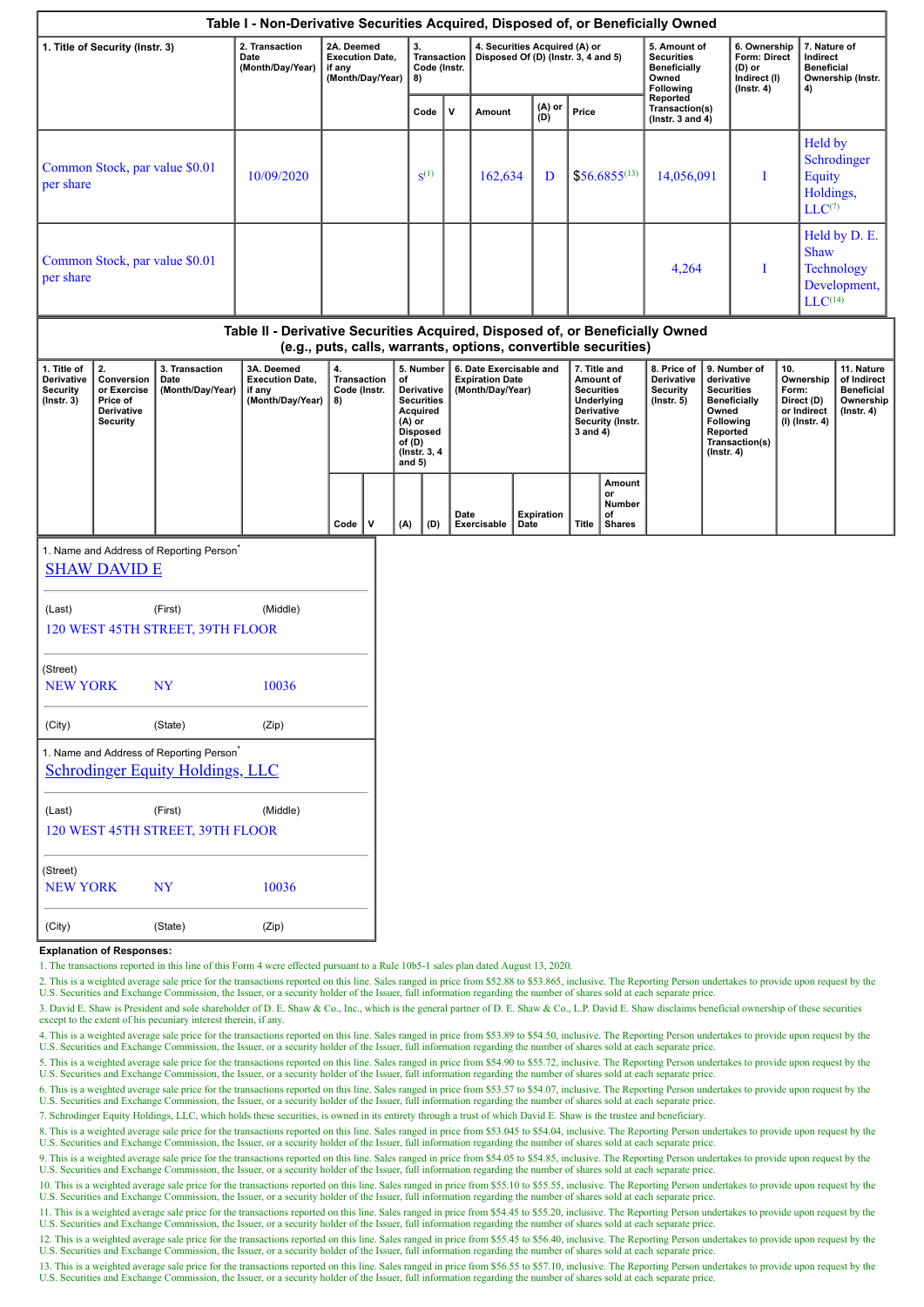|                                                                  |                                                                                                                                                 |                                                                                                 | Table I - Non-Derivative Securities Acquired, Disposed of, or Beneficially Owned |          |                                                |    |                                                                                                                              |                                                                      |                     |                                                                       |                   |                                                                                                                       |                                               |                                                                            |                                                                                                                                                |                                                                          |                                                                            |                                                                                          |                                                                                 |
|------------------------------------------------------------------|-------------------------------------------------------------------------------------------------------------------------------------------------|-------------------------------------------------------------------------------------------------|----------------------------------------------------------------------------------|----------|------------------------------------------------|----|------------------------------------------------------------------------------------------------------------------------------|----------------------------------------------------------------------|---------------------|-----------------------------------------------------------------------|-------------------|-----------------------------------------------------------------------------------------------------------------------|-----------------------------------------------|----------------------------------------------------------------------------|------------------------------------------------------------------------------------------------------------------------------------------------|--------------------------------------------------------------------------|----------------------------------------------------------------------------|------------------------------------------------------------------------------------------|---------------------------------------------------------------------------------|
| 1. Title of Security (Instr. 3)                                  |                                                                                                                                                 | 2. Transaction<br>Date<br>(Month/Day/Year)                                                      | 2A. Deemed<br><b>Execution Date,</b><br>if any<br>(Month/Day/Year)               |          | 3.<br><b>Transaction</b><br>Code (Instr.<br>8) |    |                                                                                                                              | 4. Securities Acquired (A) or<br>Disposed Of (D) (Instr. 3, 4 and 5) |                     |                                                                       |                   | 5. Amount of<br><b>Securities</b><br><b>Beneficially</b><br>Owned<br>Following                                        |                                               | 6. Ownership<br>Form: Direct<br>(D) or<br>Indirect (I)<br>$($ lnstr. 4 $)$ |                                                                                                                                                | 7. Nature of<br>Indirect<br><b>Beneficial</b><br>Ownership (Instr.<br>4) |                                                                            |                                                                                          |                                                                                 |
|                                                                  |                                                                                                                                                 |                                                                                                 |                                                                                  |          |                                                |    | Code                                                                                                                         | ${\mathsf v}$                                                        | Amount              |                                                                       | (A) or<br>(D)     | Price                                                                                                                 |                                               | Reported<br>Transaction(s)<br>(Instr. $3$ and $4$ )                        |                                                                                                                                                |                                                                          |                                                                            |                                                                                          |                                                                                 |
| per share                                                        |                                                                                                                                                 | Common Stock, par value \$0.01                                                                  | 10/09/2020                                                                       |          |                                                |    | $S^{(1)}$                                                                                                                    |                                                                      | 162,634             |                                                                       | D                 |                                                                                                                       | $$56.6855^{(13)}$                             | 14,056,091                                                                 |                                                                                                                                                | Ι                                                                        | <b>Held by</b><br>Schrodinger<br><b>Equity</b><br>Holdings,<br>$LLC^{(7)}$ |                                                                                          |                                                                                 |
| per share                                                        |                                                                                                                                                 | Common Stock, par value \$0.01                                                                  |                                                                                  |          |                                                |    |                                                                                                                              |                                                                      |                     |                                                                       |                   |                                                                                                                       |                                               | 4,264                                                                      |                                                                                                                                                | I                                                                        |                                                                            | Held by D. E.<br><b>Shaw</b><br><b>Technology</b><br>Development,<br>LLC <sup>(14)</sup> |                                                                                 |
|                                                                  | Table II - Derivative Securities Acquired, Disposed of, or Beneficially Owned<br>(e.g., puts, calls, warrants, options, convertible securities) |                                                                                                 |                                                                                  |          |                                                |    |                                                                                                                              |                                                                      |                     |                                                                       |                   |                                                                                                                       |                                               |                                                                            |                                                                                                                                                |                                                                          |                                                                            |                                                                                          |                                                                                 |
| 1. Title of<br>Derivative<br><b>Security</b><br>$($ Instr. 3 $)$ | 2.<br>Conversion<br>or Exercise<br>Price of<br>Derivative<br><b>Security</b>                                                                    | 3. Transaction<br>Date<br>(Month/Day/Year)                                                      | 3A. Deemed<br><b>Execution Date,</b><br>if any<br>(Month/Day/Year)               | 4.<br>8) | <b>Transaction</b><br>Code (Instr.             | of | 5. Number<br>Derivative<br><b>Securities</b><br>Acquired<br>(A) or<br><b>Disposed</b><br>of (D)<br>(Instr. 3, 4)<br>and $5)$ |                                                                      |                     | 6. Date Exercisable and<br><b>Expiration Date</b><br>(Month/Day/Year) |                   | 7. Title and<br>Amount of<br><b>Securities</b><br>Underlying<br><b>Derivative</b><br>Security (Instr.<br>$3$ and $4)$ |                                               | 8. Price of<br>Derivative<br>Security<br>$($ Instr. 5 $)$                  | 9. Number of<br>derivative<br><b>Securities</b><br><b>Beneficially</b><br>Owned<br>Following<br>Reported<br>Transaction(s)<br>$($ Instr. 4 $)$ |                                                                          | 10.<br>Form:<br>Direct (D)<br>or Indirect<br>(I) (Instr. 4)                | Ownership                                                                                | 11. Nature<br>of Indirect<br><b>Beneficial</b><br>Ownership<br>$($ lnstr. 4 $)$ |
|                                                                  |                                                                                                                                                 |                                                                                                 |                                                                                  | Code     | v                                              |    | (D)<br>(A)                                                                                                                   |                                                                      | Date<br>Exercisable | Date                                                                  | <b>Expiration</b> | <b>Title</b>                                                                                                          | Amount<br>or<br>Number<br>οf<br><b>Shares</b> |                                                                            |                                                                                                                                                |                                                                          |                                                                            |                                                                                          |                                                                                 |
|                                                                  | <b>SHAW DAVID E</b>                                                                                                                             | 1. Name and Address of Reporting Person                                                         |                                                                                  |          |                                                |    |                                                                                                                              |                                                                      |                     |                                                                       |                   |                                                                                                                       |                                               |                                                                            |                                                                                                                                                |                                                                          |                                                                            |                                                                                          |                                                                                 |
| (Last)                                                           |                                                                                                                                                 | (First)<br>120 WEST 45TH STREET, 39TH FLOOR                                                     | (Middle)                                                                         |          |                                                |    |                                                                                                                              |                                                                      |                     |                                                                       |                   |                                                                                                                       |                                               |                                                                            |                                                                                                                                                |                                                                          |                                                                            |                                                                                          |                                                                                 |
| (Street)<br><b>NEW YORK</b>                                      |                                                                                                                                                 | <b>NY</b>                                                                                       | 10036                                                                            |          |                                                |    |                                                                                                                              |                                                                      |                     |                                                                       |                   |                                                                                                                       |                                               |                                                                            |                                                                                                                                                |                                                                          |                                                                            |                                                                                          |                                                                                 |
| (City)                                                           |                                                                                                                                                 | (State)                                                                                         | (Zip)                                                                            |          |                                                |    |                                                                                                                              |                                                                      |                     |                                                                       |                   |                                                                                                                       |                                               |                                                                            |                                                                                                                                                |                                                                          |                                                                            |                                                                                          |                                                                                 |
|                                                                  |                                                                                                                                                 | 1. Name and Address of Reporting Person <sup>*</sup><br><b>Schrodinger Equity Holdings, LLC</b> |                                                                                  |          |                                                |    |                                                                                                                              |                                                                      |                     |                                                                       |                   |                                                                                                                       |                                               |                                                                            |                                                                                                                                                |                                                                          |                                                                            |                                                                                          |                                                                                 |
| (Last)                                                           |                                                                                                                                                 | (First)<br>120 WEST 45TH STREET, 39TH FLOOR                                                     | (Middle)                                                                         |          |                                                |    |                                                                                                                              |                                                                      |                     |                                                                       |                   |                                                                                                                       |                                               |                                                                            |                                                                                                                                                |                                                                          |                                                                            |                                                                                          |                                                                                 |
| (Street)<br><b>NEW YORK</b>                                      |                                                                                                                                                 | <b>NY</b>                                                                                       | 10036                                                                            |          |                                                |    |                                                                                                                              |                                                                      |                     |                                                                       |                   |                                                                                                                       |                                               |                                                                            |                                                                                                                                                |                                                                          |                                                                            |                                                                                          |                                                                                 |
| (City)                                                           |                                                                                                                                                 | (State)                                                                                         | (Zip)                                                                            |          |                                                |    |                                                                                                                              |                                                                      |                     |                                                                       |                   |                                                                                                                       |                                               |                                                                            |                                                                                                                                                |                                                                          |                                                                            |                                                                                          |                                                                                 |

### **Explanation of Responses:**

1. The transactions reported in this line of this Form 4 were effected pursuant to a Rule 10b5-1 sales plan dated August 13, 2020.

2. This is a weighted average sale price for the transactions reported on this line. Sales ranged in price from \$52.88 to \$53.865, inclusive. The Reporting Person undertakes to provide upon request by the U.S. Securities and Exchange Commission, the Issuer, or a security holder of the Issuer, full information regarding the number of shares sold at each separate price.

3. David E. Shaw is President and sole shareholder of D. E. Shaw & Co., Inc., which is the general partner of D. E. Shaw & Co., L.P. David E. Shaw disclaims beneficial ownership of these securities except to the extent of his pecuniary interest therein, if any.

4. This is a weighted average sale price for the transactions reported on this line. Sales ranged in price from \$53.89 to \$54.50, inclusive. The Reporting Person undertakes to provide upon request by the<br>U.S. Securities an

5. This is a weighted average sale price for the transactions reported on this line. Sales ranged in price from \$54.90 to \$55.72, inclusive. The Reporting Person undertakes to provide upon request by the U.S. Securities and Exchange Commission, the Issuer, or a security holder of the Issuer, full information regarding the number of shares sold at each separate price.

6. This is a weighted average sale price for the transactions reported on this line. Sales ranged in price from \$53.57 to \$54.07, inclusive. The Reporting Person undertakes to provide upon request by the U.S. Securities and Exchange Commission, the Issuer, or a security holder of the Issuer, full information regarding the number of shares sold at each separate price.

7. Schrodinger Equity Holdings, LLC, which holds these securities, is owned in its entirety through a trust of which David E. Shaw is the trustee and beneficiary.

8. This is a weighted average sale price for the transactions reported on this line. Sales ranged in price from \$53.045 to \$54.04, inclusive. The Reporting Person undertakes to provide upon request by the U.S. Securities and Exchange Commission, the Issuer, or a security holder of the Issuer, full information regarding the number of shares sold at each separate price.

9. This is a weighted average sale price for the transactions reported on this line. Sales ranged in price from \$54.05 to \$54.85, inclusive. The Reporting Person undertakes to provide upon request by the U.S. Securities and Exchange Commission, the Issuer, or a security holder of the Issuer, full information regarding the number of shares sold at each separate price.

10. This is a weighted average sale price for the transactions reported on this line. Sales ranged in price from \$55.10 to \$55.55, inclusive. The Reporting Person undertakes to provide upon request by the U.S. Securities and Exchange Commission, the Issuer, or a security holder of the Issuer, full information regarding the number of shares sold at each separate price.

11. This is a weighted average sale price for the transactions reported on this line. Sales ranged in price from \$54.45 to \$55.20, inclusive. The Reporting Person undertakes to provide upon request by the U.S. Securities and Exchange Commission, the Issuer, or a security holder of the Issuer, full information regarding the number of shares sold at each separate price.

12. This is a weighted average sale price for the transactions reported on this line. Sales ranged in price from \$55.45 to \$56.40, inclusive. The Reporting Person undertakes to provide upon request by the U.S. Securities and Exchange Commission, the Issuer, or a security holder of the Issuer, full information regarding the number of shares sold at each separate price.

13. This is a weighted average sale price for the transactions reported on this line. Sales ranged in price from \$56.55 to \$57.10, inclusive. The Reporting Person undertakes to provide upon request by the U.S. Securities and Exchange Commission, the Issuer, or a security holder of the Issuer, full information regarding the number of shares sold at each separate price.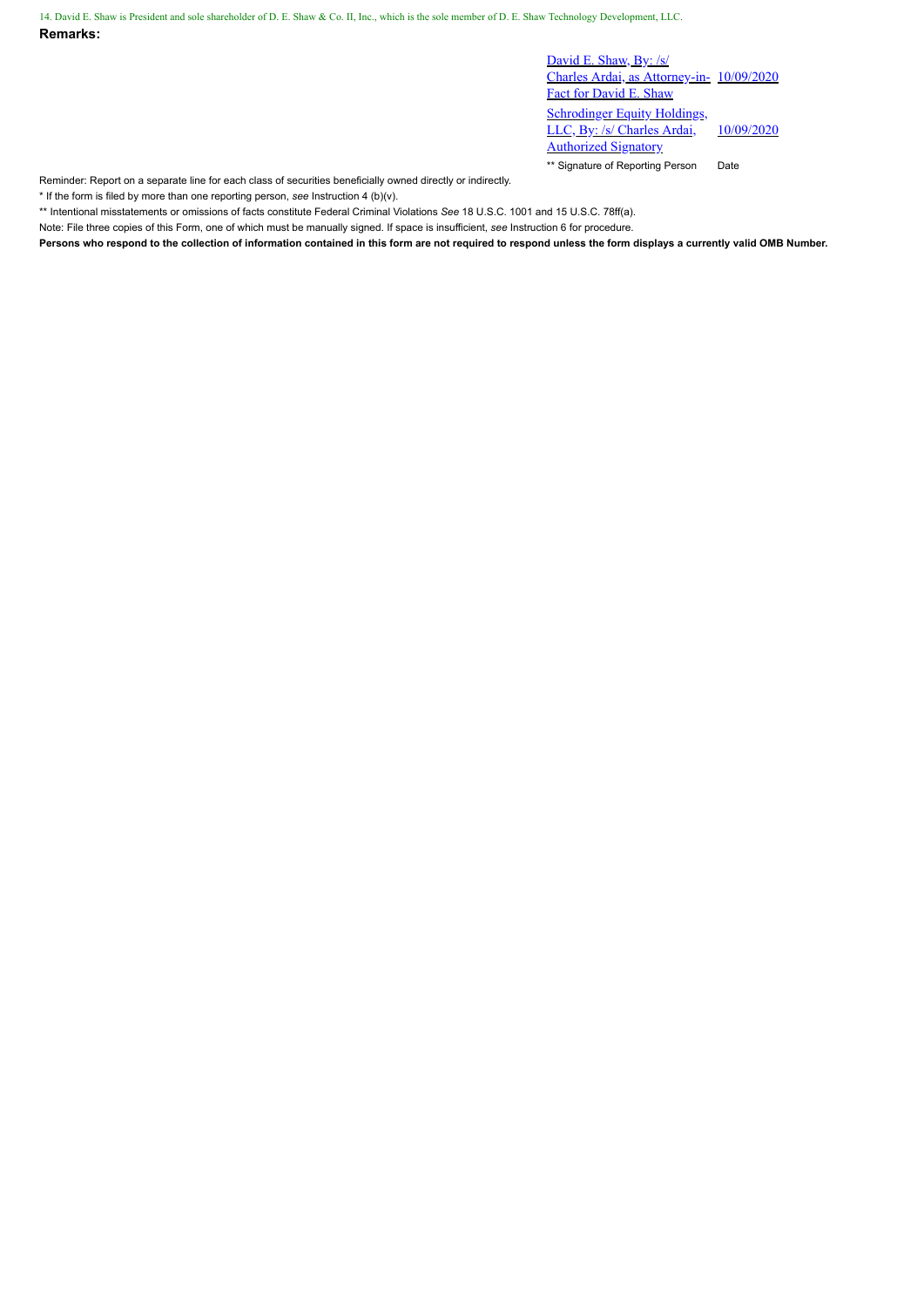14. David E. Shaw is President and sole shareholder of D. E. Shaw & Co. II, Inc., which is the sole member of D. E. Shaw Technology Development, LLC.

**Remarks:**

David E. Shaw, By: /s/ Charles Ardai, as Attorney-in-10/09/2020 Fact for David E. Shaw Schrodinger Equity Holdings, LLC, By: /s/ Charles Ardai, Authorized Signatory 10/09/2020 \*\* Signature of Reporting Person Date

Reminder: Report on a separate line for each class of securities beneficially owned directly or indirectly.

\* If the form is filed by more than one reporting person, *see* Instruction 4 (b)(v).

\*\* Intentional misstatements or omissions of facts constitute Federal Criminal Violations *See* 18 U.S.C. 1001 and 15 U.S.C. 78ff(a).

Note: File three copies of this Form, one of which must be manually signed. If space is insufficient, *see* Instruction 6 for procedure.

**Persons who respond to the collection of information contained in this form are not required to respond unless the form displays a currently valid OMB Number.**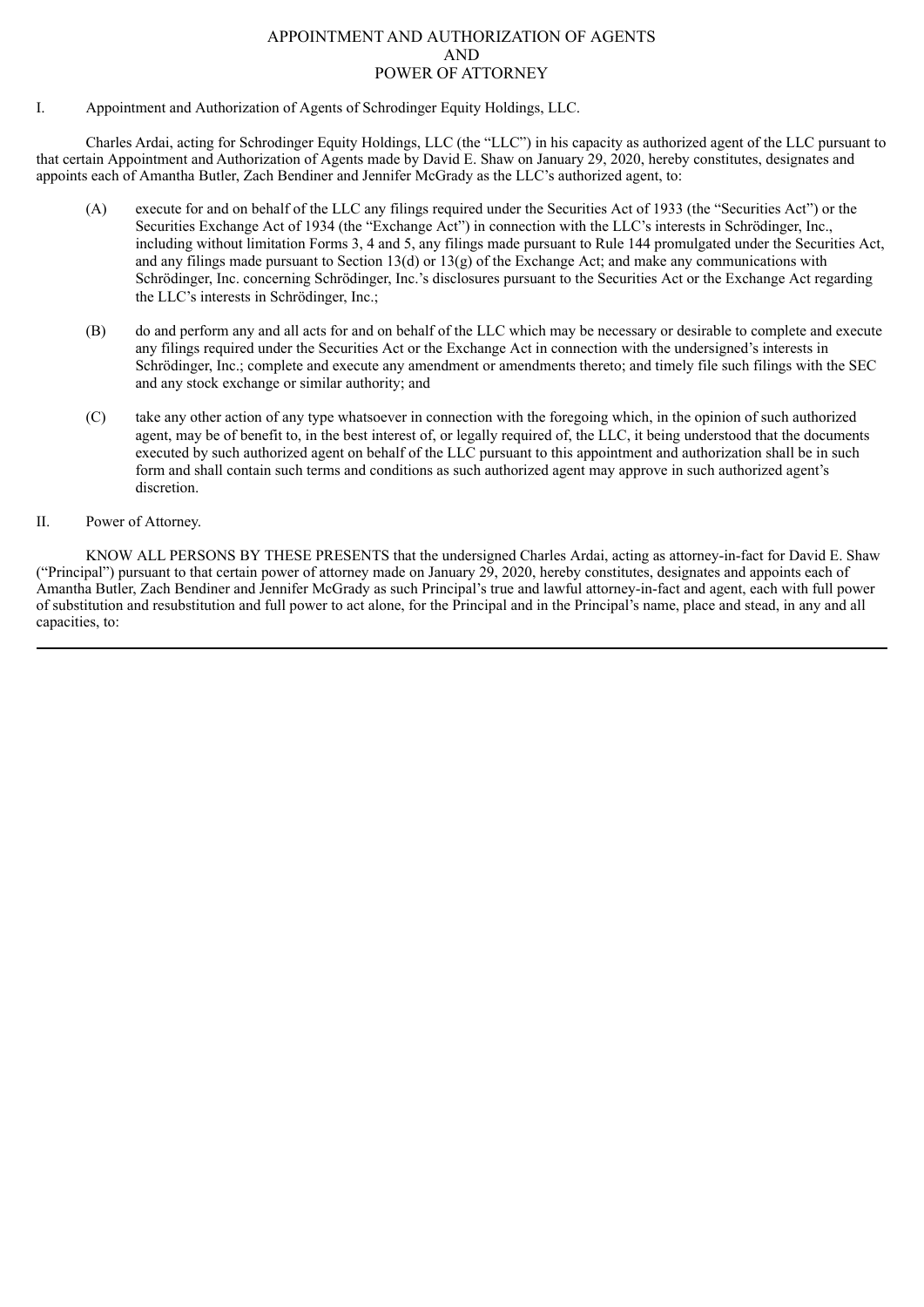## APPOINTMENT AND AUTHORIZATION OF AGENTS AND POWER OF ATTORNEY

I. Appointment and Authorization of Agents of Schrodinger Equity Holdings, LLC.

Charles Ardai, acting for Schrodinger Equity Holdings, LLC (the "LLC") in his capacity as authorized agent of the LLC pursuant to that certain Appointment and Authorization of Agents made by David E. Shaw on January 29, 2020, hereby constitutes, designates and appoints each of Amantha Butler, Zach Bendiner and Jennifer McGrady as the LLC's authorized agent, to:

- (A) execute for and on behalf of the LLC any filings required under the Securities Act of 1933 (the "Securities Act") or the Securities Exchange Act of 1934 (the "Exchange Act") in connection with the LLC's interests in Schrödinger, Inc., including without limitation Forms 3, 4 and 5, any filings made pursuant to Rule 144 promulgated under the Securities Act, and any filings made pursuant to Section 13(d) or 13(g) of the Exchange Act; and make any communications with Schrödinger, Inc. concerning Schrödinger, Inc.'s disclosures pursuant to the Securities Act or the Exchange Act regarding the LLC's interests in Schrödinger, Inc.;
- (B) do and perform any and all acts for and on behalf of the LLC which may be necessary or desirable to complete and execute any filings required under the Securities Act or the Exchange Act in connection with the undersigned's interests in Schrödinger, Inc.; complete and execute any amendment or amendments thereto; and timely file such filings with the SEC and any stock exchange or similar authority; and
- (C) take any other action of any type whatsoever in connection with the foregoing which, in the opinion of such authorized agent, may be of benefit to, in the best interest of, or legally required of, the LLC, it being understood that the documents executed by such authorized agent on behalf of the LLC pursuant to this appointment and authorization shall be in such form and shall contain such terms and conditions as such authorized agent may approve in such authorized agent's discretion.
- II. Power of Attorney.

KNOW ALL PERSONS BY THESE PRESENTS that the undersigned Charles Ardai, acting as attorney-in-fact for David E. Shaw ("Principal") pursuant to that certain power of attorney made on January 29, 2020, hereby constitutes, designates and appoints each of Amantha Butler, Zach Bendiner and Jennifer McGrady as such Principal's true and lawful attorney-in-fact and agent, each with full power of substitution and resubstitution and full power to act alone, for the Principal and in the Principal's name, place and stead, in any and all capacities, to: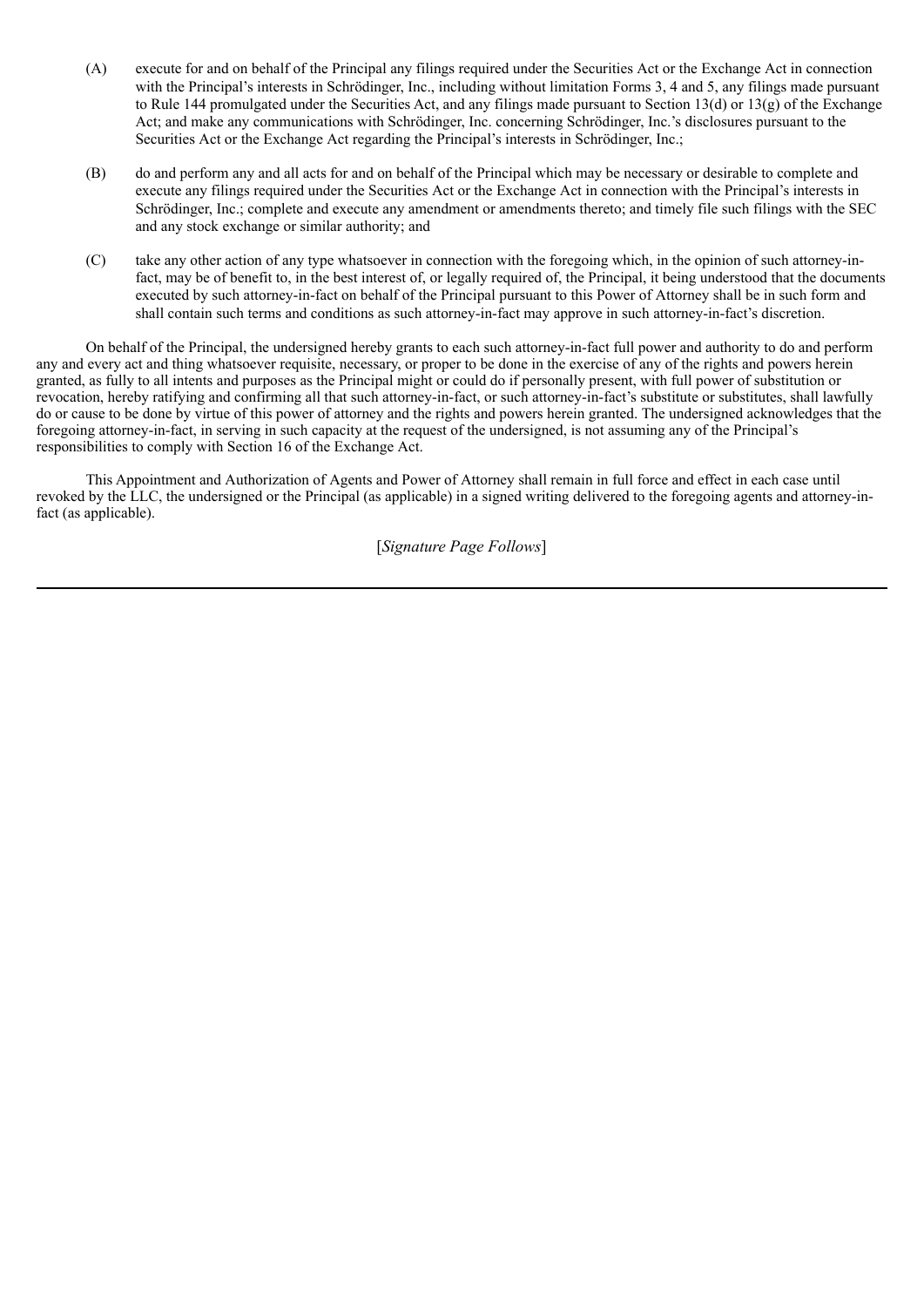- (A) execute for and on behalf of the Principal any filings required under the Securities Act or the Exchange Act in connection with the Principal's interests in Schrödinger, Inc., including without limitation Forms 3, 4 and 5, any filings made pursuant to Rule 144 promulgated under the Securities Act, and any filings made pursuant to Section 13(d) or 13(g) of the Exchange Act; and make any communications with Schrödinger, Inc. concerning Schrödinger, Inc.'s disclosures pursuant to the Securities Act or the Exchange Act regarding the Principal's interests in Schrödinger, Inc.;
- (B) do and perform any and all acts for and on behalf of the Principal which may be necessary or desirable to complete and execute any filings required under the Securities Act or the Exchange Act in connection with the Principal's interests in Schrödinger, Inc.; complete and execute any amendment or amendments thereto; and timely file such filings with the SEC and any stock exchange or similar authority; and
- (C) take any other action of any type whatsoever in connection with the foregoing which, in the opinion of such attorney-infact, may be of benefit to, in the best interest of, or legally required of, the Principal, it being understood that the documents executed by such attorney-in-fact on behalf of the Principal pursuant to this Power of Attorney shall be in such form and shall contain such terms and conditions as such attorney-in-fact may approve in such attorney-in-fact's discretion.

On behalf of the Principal, the undersigned hereby grants to each such attorney-in-fact full power and authority to do and perform any and every act and thing whatsoever requisite, necessary, or proper to be done in the exercise of any of the rights and powers herein granted, as fully to all intents and purposes as the Principal might or could do if personally present, with full power of substitution or revocation, hereby ratifying and confirming all that such attorney-in-fact, or such attorney-in-fact's substitute or substitutes, shall lawfully do or cause to be done by virtue of this power of attorney and the rights and powers herein granted. The undersigned acknowledges that the foregoing attorney-in-fact, in serving in such capacity at the request of the undersigned, is not assuming any of the Principal's responsibilities to comply with Section 16 of the Exchange Act.

This Appointment and Authorization of Agents and Power of Attorney shall remain in full force and effect in each case until revoked by the LLC, the undersigned or the Principal (as applicable) in a signed writing delivered to the foregoing agents and attorney-infact (as applicable).

[*Signature Page Follows*]